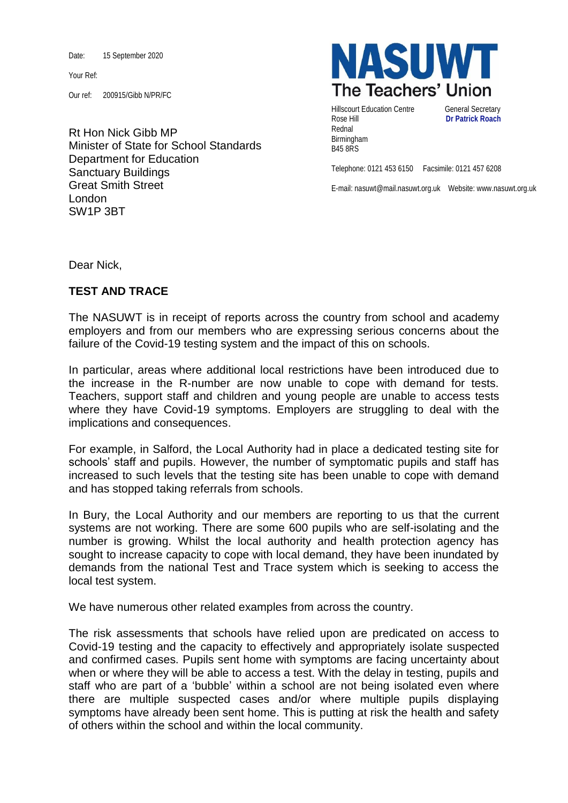Date: 15 September 2020

Your Ref:

Our ref: 200915/Gibb N/PR/FC

Rt Hon Nick Gibb MP Minister of State for School Standards Department for Education Sanctuary Buildings Great Smith Street London SW1P 3BT



Hillscourt Education Centre **General Secretary** Rose Hill **Dr Patrick Roach** Rednal Birmingham B45 8RS

Telephone: 0121 453 6150 Facsimile: 0121 457 6208

E-mail: nasuwt@mail.nasuwt.org.uk Website: www.nasuwt.org.uk

Dear Nick,

## **TEST AND TRACE**

The NASUWT is in receipt of reports across the country from school and academy employers and from our members who are expressing serious concerns about the failure of the Covid-19 testing system and the impact of this on schools.

In particular, areas where additional local restrictions have been introduced due to the increase in the R-number are now unable to cope with demand for tests. Teachers, support staff and children and young people are unable to access tests where they have Covid-19 symptoms. Employers are struggling to deal with the implications and consequences.

For example, in Salford, the Local Authority had in place a dedicated testing site for schools' staff and pupils. However, the number of symptomatic pupils and staff has increased to such levels that the testing site has been unable to cope with demand and has stopped taking referrals from schools.

In Bury, the Local Authority and our members are reporting to us that the current systems are not working. There are some 600 pupils who are self-isolating and the number is growing. Whilst the local authority and health protection agency has sought to increase capacity to cope with local demand, they have been inundated by demands from the national Test and Trace system which is seeking to access the local test system.

We have numerous other related examples from across the country.

The risk assessments that schools have relied upon are predicated on access to Covid-19 testing and the capacity to effectively and appropriately isolate suspected and confirmed cases. Pupils sent home with symptoms are facing uncertainty about when or where they will be able to access a test. With the delay in testing, pupils and staff who are part of a 'bubble' within a school are not being isolated even where there are multiple suspected cases and/or where multiple pupils displaying symptoms have already been sent home. This is putting at risk the health and safety of others within the school and within the local community.